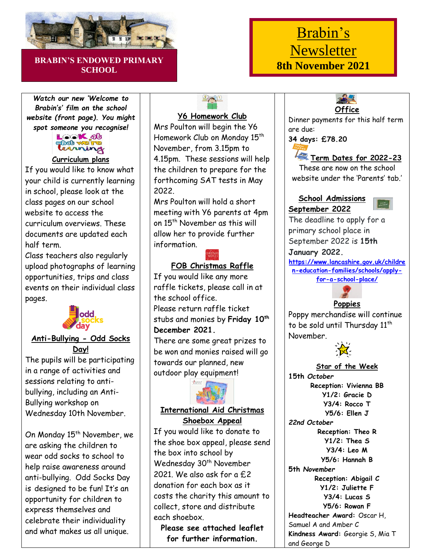

#### **BRABIN'S ENDOWED PRIMARY SCHOOL**

#### *Watch our new 'Welcome to Brabin's' film on the school website (front page). You might*



#### **Curriculum plans**

If you would like to know what your child is currently learning in school, please look at the class pages on our school website to access the curriculum overviews. These documents are updated each half term.

Class teachers also regularly upload photographs of learning opportunities, trips and class events on their individual class pages.



## **Anti-Bullying - Odd Socks Day!**

The pupils will be participating in a range of activities and sessions relating to antibullying, including an Anti-Bullying workshop on Wednesday 10th November.

On Monday 15<sup>th</sup> November, we are asking the children to wear odd socks to school to help raise awareness around anti-bullying. Odd Socks Day is designed to be fun! It's an opportunity for children to express themselves and celebrate their individuality and what makes us all unique.

# PAP

# **Y6 Homework Club**

Mrs Poulton will begin the Y6 Homework Club on Monday 15th November, from 3.15pm to 4.15pm. These sessions will help the children to prepare for the forthcoming SAT tests in May 2022.

Mrs Poulton will hold a short meeting with Y6 parents at 4pm on 15<sup>th</sup> November as this will allow her to provide further information.

## **FOB Christmas Raffle**

If you would like any more raffle tickets, please call in at the school office. Please return raffle ticket stubs and monies by **Friday 10th December 2021.**

There are some great prizes to be won and monies raised will go towards our planned, new outdoor play equipment!



# **International Aid Christmas**

**Shoebox Appeal** If you would like to donate to the shoe box appeal, please send the box into school by Wednesday 30<sup>th</sup> November 2021. We also ask for a f.2 donation for each box as it costs the charity this amount to collect, store and distribute each shoebox.

**Please see attached leaflet for further information.**

# Brabin's Newsletter **8th November 2021**



Dinner payments for this half term are due:

**34 days: £78.20**



These are now on the school website under the 'Parents' tab.

### **School Admissions September 2022**



The deadline to apply for a primary school place in September 2022 is **15th January 2022. [https://www.lancashire.gov.uk/childre](https://www.lancashire.gov.uk/children-education-families/schools/apply-for-a-school-place/) [n-education-families/schools/apply-](https://www.lancashire.gov.uk/children-education-families/schools/apply-for-a-school-place/)**

**[for-a-school-place/](https://www.lancashire.gov.uk/children-education-families/schools/apply-for-a-school-place/)**



Poppy merchandise will continue to be sold until Thursday 11<sup>th</sup> November.



#### **Star of the Week 15th** *October* **Reception: Vivienna BB Y1/2: Gracie D Y3/4: Rocco T Y5/6: Ellen J** *22nd October* **Reception: Theo R Y1/2: Thea S**

**Y3/4: Leo M Y5/6: Hannah B 5th** *November* **Reception: Abigail C Y1/2: Juliette F Y3/4: Lucas S Y5/6: Rowan F Headteacher Award:** Oscar H, Samuel A and Amber C **Kindness Award:** Georgie S, Mia T and George D